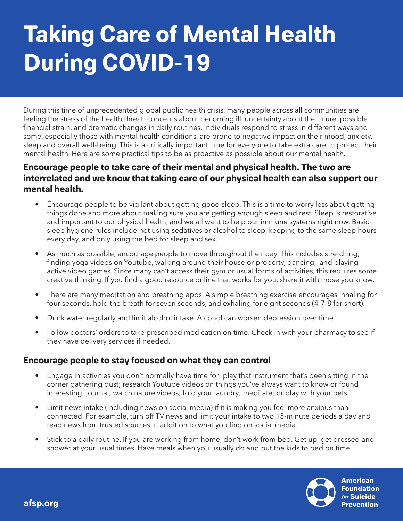# **Taking Care of Mental Health During COVID-19**

During this time of unprecedented global public health crisis, many people across all communities are feeling the stress of the health threat: concerns about becoming ill, uncertainty about the future, possible financial strain, and dramatic changes in daily routines. Individuals respond to stress in different ways and some, especially those with mental health conditions, are prone to negative impact on their mood, anxiety, sleep and overall well-being. This is a critically important time for everyone to take extra care to protect their mental health. Here are some practical tips to be as proactive as possible about our mental health.

### **Encourage people to take care of their mental and physical health. The two are interrelated and we know that taking care of our physical health can also support our mental health.**

- Encourage people to be vigilant about getting good sleep. This is a time to worry less about getting things done and more about making sure you are getting enough sleep and rest. Sleep is restorative and important to our physical health, and we all want to help our immune systems right now. Basic sleep hygiene rules include not using sedatives or alcohol to sleep, keeping to the same sleep hours every day, and only using the bed for sleep and sex.
- As much as possible, encourage people to move throughout their day. This includes stretching, finding yoga videos on Youtube, walking around their house or property, dancing, and playing active video games. Since many can't access their gym or usual forms of activities, this requires some creative thinking. If you find a good resource online that works for you, share it with those you know.
- There are many meditation and breathing apps. A simple breathing exercise encourages inhaling for four seconds, hold the breath for seven seconds, and exhaling for eight seconds (4-7-8 for short).
- Drink water regularly and limit alcohol intake. Alcohol can worsen depression over time.
- Follow doctors' orders to take prescribed medication on time. Check in with your pharmacy to see if they have delivery services if needed.

### **Encourage people to stay focused on what they can control**

**afsp.org**

- Engage in activities you don't normally have time for: play that instrument that's been sitting in the corner gathering dust; research Youtube videos on things you've always want to know or found interesting; journal; watch nature videos; fold your laundry; meditate; or play with your pets.
- Limit news intake (including news on social media) if it is making you feel more anxious than connected. For example, turn off TV news and limit your intake to two 15-minute periods a day and read news from trusted sources in addition to what you find on social media.
- Stick to a daily routine. If you are working from home, don't work from bed. Get up, get dressed and shower at your usual times. Have meals when you usually do and put the kids to bed on time.



**American Foundation for Suicide Prevention**